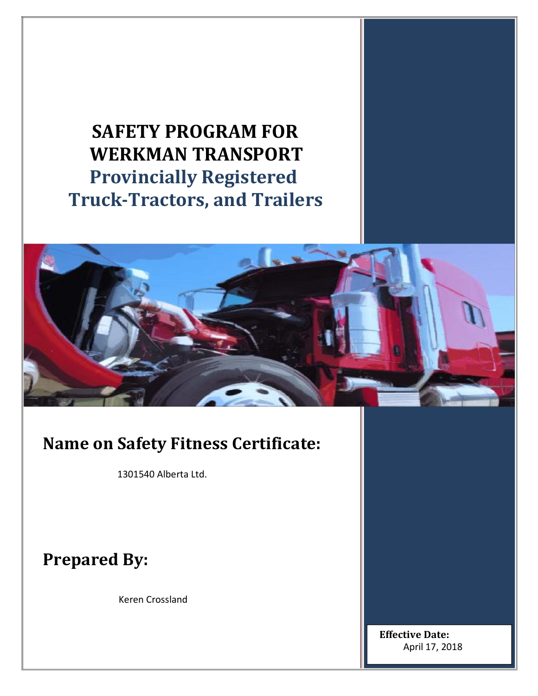# **SAFETY PROGRAM FOR WERKMAN TRANSPORT Provincially Registered Truck-Tractors, and Trailers**



# **Name on Safety Fitness Certificate:**

1301540 Alberta Ltd.

**Prepared By:**

Keren Crossland

**Effective Date:**  April 17, 2018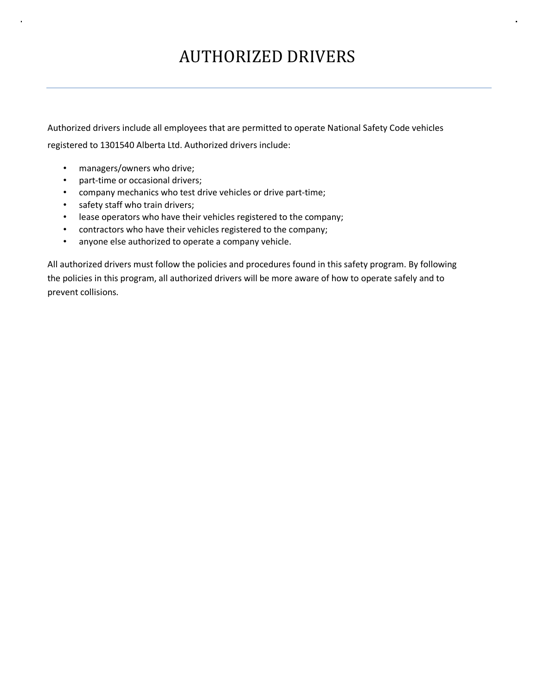# AUTHORIZED DRIVERS

Authorized drivers include all employees that are permitted to operate National Safety Code vehicles registered to 1301540 Alberta Ltd. Authorized drivers include:

- managers/owners who drive;
- part-time or occasional drivers;
- company mechanics who test drive vehicles or drive part-time;
- safety staff who train drivers;
- lease operators who have their vehicles registered to the company;
- contractors who have their vehicles registered to the company;
- anyone else authorized to operate a company vehicle.

All authorized drivers must follow the policies and procedures found in this safety program. By following the policies in this program, all authorized drivers will be more aware of how to operate safely and to prevent collisions.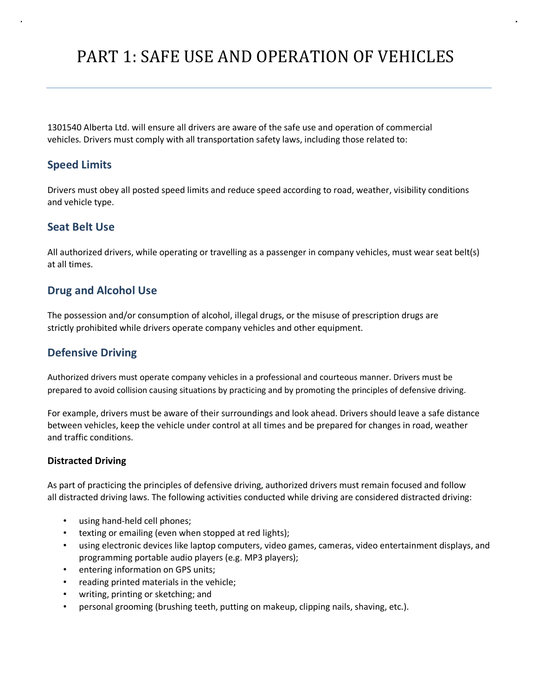# PART 1: SAFE USE AND OPERATION OF VEHICLES

1301540 Alberta Ltd. will ensure all drivers are aware of the safe use and operation of commercial vehicles. Drivers must comply with all transportation safety laws, including those related to:

### **Speed Limits**

Drivers must obey all posted speed limits and reduce speed according to road, weather, visibility conditions and vehicle type.

## **Seat Belt Use**

All authorized drivers, while operating or travelling as a passenger in company vehicles, must wear seat belt(s) at all times.

### **Drug and Alcohol Use**

The possession and/or consumption of alcohol, illegal drugs, or the misuse of prescription drugs are strictly prohibited while drivers operate company vehicles and other equipment.

### **Defensive Driving**

Authorized drivers must operate company vehicles in a professional and courteous manner. Drivers must be prepared to avoid collision causing situations by practicing and by promoting the principles of defensive driving.

For example, drivers must be aware of their surroundings and look ahead. Drivers should leave a safe distance between vehicles, keep the vehicle under control at all times and be prepared for changes in road, weather and traffic conditions.

#### **Distracted Driving**

As part of practicing the principles of defensive driving, authorized drivers must remain focused and follow all distracted driving laws. The following activities conducted while driving are considered distracted driving:

- using hand-held cell phones;
- texting or emailing (even when stopped at red lights);
- using electronic devices like laptop computers, video games, cameras, video entertainment displays, and programming portable audio players (e.g. MP3 players);
- entering information on GPS units;
- reading printed materials in the vehicle;
- writing, printing or sketching; and
- personal grooming (brushing teeth, putting on makeup, clipping nails, shaving, etc.).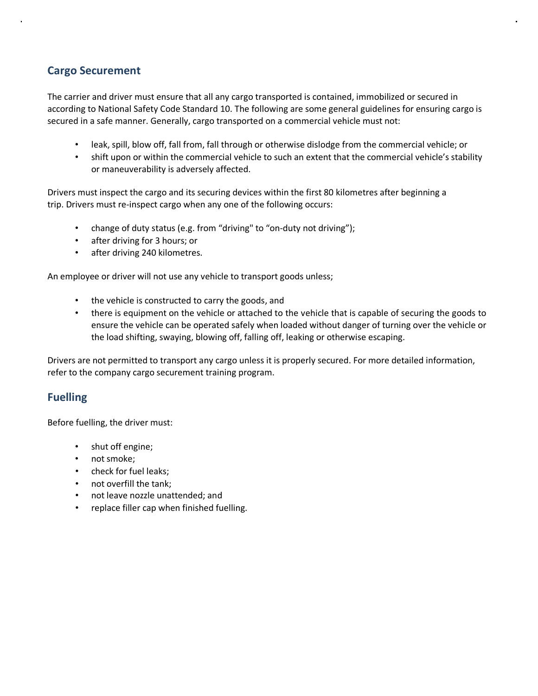# **Cargo Securement**

The carrier and driver must ensure that all any cargo transported is contained, immobilized or secured in according to National Safety Code Standard 10. The following are some general guidelines for ensuring cargo is secured in a safe manner. Generally, cargo transported on a commercial vehicle must not:

- leak, spill, blow off, fall from, fall through or otherwise dislodge from the commercial vehicle; or
- shift upon or within the commercial vehicle to such an extent that the commercial vehicle's stability or maneuverability is adversely affected.

Drivers must inspect the cargo and its securing devices within the first 80 kilometres after beginning a trip. Drivers must re-inspect cargo when any one of the following occurs:

- change of duty status (e.g. from "driving" to "on-duty not driving");
- after driving for 3 hours; or
- after driving 240 kilometres.

An employee or driver will not use any vehicle to transport goods unless;

- the vehicle is constructed to carry the goods, and
- there is equipment on the vehicle or attached to the vehicle that is capable of securing the goods to ensure the vehicle can be operated safely when loaded without danger of turning over the vehicle or the load shifting, swaying, blowing off, falling off, leaking or otherwise escaping.

Drivers are not permitted to transport any cargo unless it is properly secured. For more detailed information, refer to the company cargo securement training program.

## **Fuelling**

Before fuelling, the driver must:

- shut off engine;
- not smoke;
- check for fuel leaks;
- not overfill the tank;
- not leave nozzle unattended; and
- replace filler cap when finished fuelling.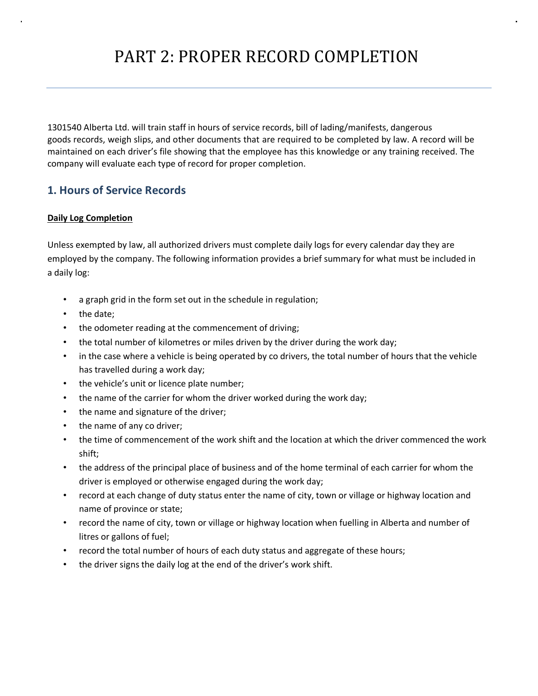1301540 Alberta Ltd. will train staff in hours of service records, bill of lading/manifests, dangerous goods records, weigh slips, and other documents that are required to be completed by law. A record will be maintained on each driver's file showing that the employee has this knowledge or any training received. The company will evaluate each type of record for proper completion.

# **1. Hours of Service Records**

### **Daily Log Completion**

Unless exempted by law, all authorized drivers must complete daily logs for every calendar day they are employed by the company. The following information provides a brief summary for what must be included in a daily log:

- a graph grid in the form set out in the schedule in regulation;
- the date;
- the odometer reading at the commencement of driving;
- the total number of kilometres or miles driven by the driver during the work day;
- in the case where a vehicle is being operated by co drivers, the total number of hours that the vehicle has travelled during a work day;
- the vehicle's unit or licence plate number;
- the name of the carrier for whom the driver worked during the work day;
- the name and signature of the driver;
- the name of any co driver;
- the time of commencement of the work shift and the location at which the driver commenced the work shift;
- the address of the principal place of business and of the home terminal of each carrier for whom the driver is employed or otherwise engaged during the work day;
- record at each change of duty status enter the name of city, town or village or highway location and name of province or state;
- record the name of city, town or village or highway location when fuelling in Alberta and number of litres or gallons of fuel;
- record the total number of hours of each duty status and aggregate of these hours;
- the driver signs the daily log at the end of the driver's work shift.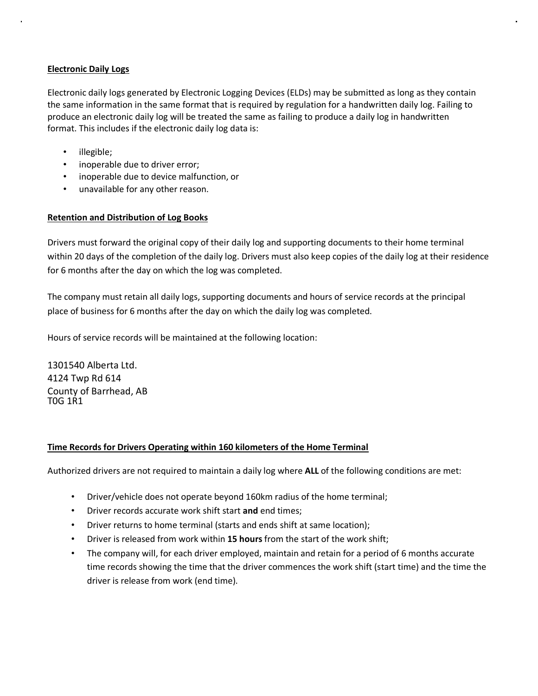#### **Electronic Daily Logs**

Electronic daily logs generated by Electronic Logging Devices (ELDs) may be submitted as long as they contain the same information in the same format that is required by regulation for a handwritten daily log. Failing to produce an electronic daily log will be treated the same as failing to produce a daily log in handwritten format. This includes if the electronic daily log data is:

- illegible;
- inoperable due to driver error;
- inoperable due to device malfunction, or
- unavailable for any other reason.

#### **Retention and Distribution of Log Books**

Drivers must forward the original copy of their daily log and supporting documents to their home terminal within 20 days of the completion of the daily log. Drivers must also keep copies of the daily log at their residence for 6 months after the day on which the log was completed.

The company must retain all daily logs, supporting documents and hours of service records at the principal place of business for 6 months after the day on which the daily log was completed.

Hours of service records will be maintained at the following location:

1301540 Alberta Ltd. 4124 Twp Rd 614 County of Barrhead, AB T0G 1R1

#### **Time Records for Drivers Operating within 160 kilometers of the Home Terminal**

Authorized drivers are not required to maintain a daily log where **ALL** of the following conditions are met:

- Driver/vehicle does not operate beyond 160km radius of the home terminal;
- Driver records accurate work shift start **and** end times;
- Driver returns to home terminal (starts and ends shift at same location);
- Driver is released from work within **15 hours** from the start of the work shift;
- The company will, for each driver employed, maintain and retain for a period of 6 months accurate time records showing the time that the driver commences the work shift (start time) and the time the driver is release from work (end time).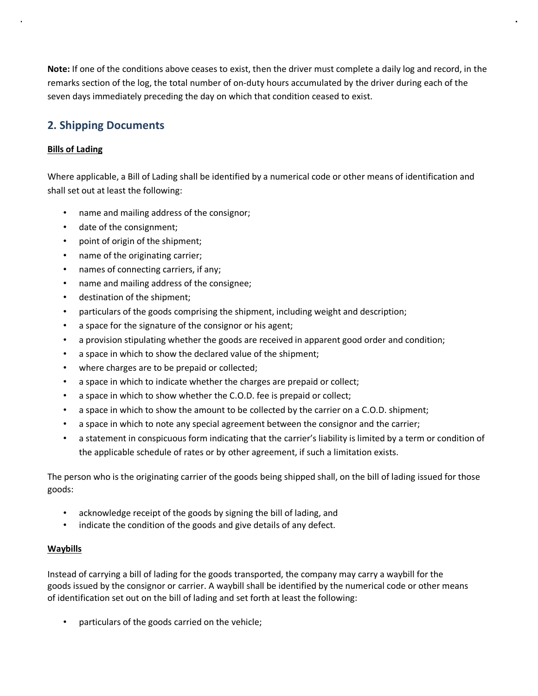**Note:** If one of the conditions above ceases to exist, then the driver must complete a daily log and record, in the remarks section of the log, the total number of on-duty hours accumulated by the driver during each of the seven days immediately preceding the day on which that condition ceased to exist.

## **2. Shipping Documents**

### **Bills of Lading**

Where applicable, a Bill of Lading shall be identified by a numerical code or other means of identification and shall set out at least the following:

- name and mailing address of the consignor;
- date of the consignment;
- point of origin of the shipment;
- name of the originating carrier;
- names of connecting carriers, if any;
- name and mailing address of the consignee;
- destination of the shipment;
- particulars of the goods comprising the shipment, including weight and description;
- a space for the signature of the consignor or his agent;
- a provision stipulating whether the goods are received in apparent good order and condition;
- a space in which to show the declared value of the shipment;
- where charges are to be prepaid or collected;
- a space in which to indicate whether the charges are prepaid or collect;
- a space in which to show whether the C.O.D. fee is prepaid or collect;
- a space in which to show the amount to be collected by the carrier on a C.O.D. shipment;
- a space in which to note any special agreement between the consignor and the carrier;
- a statement in conspicuous form indicating that the carrier's liability is limited by a term or condition of the applicable schedule of rates or by other agreement, if such a limitation exists.

The person who is the originating carrier of the goods being shipped shall, on the bill of lading issued for those goods:

- acknowledge receipt of the goods by signing the bill of lading, and
- indicate the condition of the goods and give details of any defect.

#### **Waybills**

Instead of carrying a bill of lading for the goods transported, the company may carry a waybill for the goods issued by the consignor or carrier. A waybill shall be identified by the numerical code or other means of identification set out on the bill of lading and set forth at least the following:

• particulars of the goods carried on the vehicle;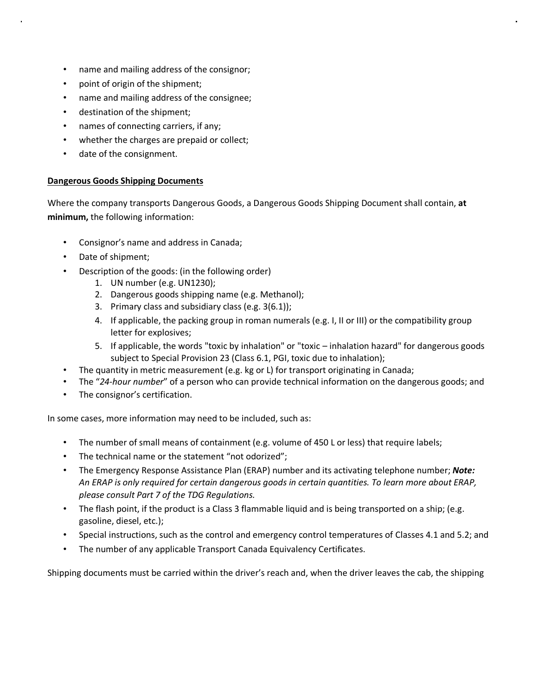- name and mailing address of the consignor;
- point of origin of the shipment;
- name and mailing address of the consignee;
- destination of the shipment;
- names of connecting carriers, if any;
- whether the charges are prepaid or collect;
- date of the consignment.

#### **Dangerous Goods Shipping Documents**

Where the company transports Dangerous Goods, a Dangerous Goods Shipping Document shall contain, **at minimum,** the following information:

- Consignor's name and address in Canada;
- Date of shipment;
- Description of the goods: (in the following order)
	- 1. UN number (e.g. UN1230);
	- 2. Dangerous goods shipping name (e.g. Methanol);
	- 3. Primary class and subsidiary class (e.g. 3(6.1));
	- 4. If applicable, the packing group in roman numerals (e.g. I, II or III) or the compatibility group letter for explosives;
	- 5. If applicable, the words "toxic by inhalation" or "toxic inhalation hazard" for dangerous goods subject to Special Provision 23 (Class 6.1, PGI, toxic due to inhalation);
- The quantity in metric measurement (e.g. kg or L) for transport originating in Canada;
- The "*24-hour number*" of a person who can provide technical information on the dangerous goods; and
- The consignor's certification.

In some cases, more information may need to be included, such as:

- The number of small means of containment (e.g. volume of 450 L or less) that require labels;
- The technical name or the statement "not odorized";
- The Emergency Response Assistance Plan (ERAP) number and its activating telephone number; *Note: An ERAP is only required for certain dangerous goods in certain quantities. To learn more about ERAP, please consult Part 7 of the TDG Regulations.*
- The flash point, if the product is a Class 3 flammable liquid and is being transported on a ship; (e.g. gasoline, diesel, etc.);
- Special instructions, such as the control and emergency control temperatures of Classes 4.1 and 5.2; and
- The number of any applicable Transport Canada Equivalency Certificates.

Shipping documents must be carried within the driver's reach and, when the driver leaves the cab, the shipping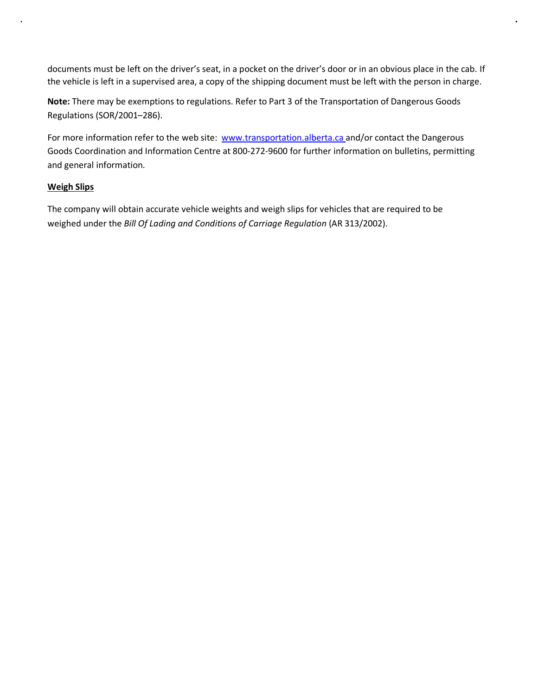documents must be left on the driver's seat, in a pocket on the driver's door or in an obvious place in the cab. If the vehicle is left in a supervised area, a copy of the shipping document must be left with the person in charge.

**Note:** There may be exemptions to regulations. Refer to Part 3 of the Transportation of Dangerous Goods Regulations (SOR/2001–286).

For more information refer to the web site: www.transportation.alberta.ca and/or contact the Dangerous Goods Coordination and Information Centre at 800-272-9600 for further information on bulletins, permitting and general information.

#### **Weigh Slips**

The company will obtain accurate vehicle weights and weigh slips for vehicles that are required to be weighed under the *Bill Of Lading and Conditions of Carriage Regulation* (AR 313/2002).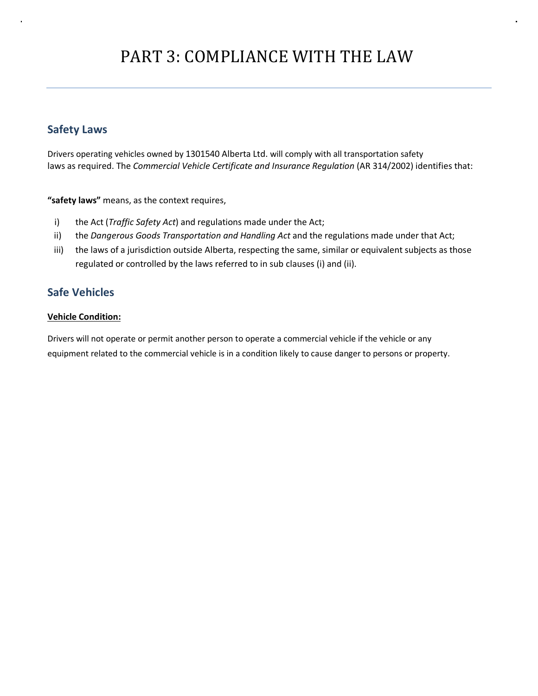# PART 3: COMPLIANCE WITH THE LAW

## **Safety Laws**

Drivers operating vehicles owned by 1301540 Alberta Ltd. will comply with all transportation safety laws as required. The *Commercial Vehicle Certificate and Insurance Regulation* (AR 314/2002) identifies that:

**"safety laws"** means, as the context requires,

- i) the Act (*Traffic Safety Act*) and regulations made under the Act;
- ii) the *Dangerous Goods Transportation and Handling Act* and the regulations made under that Act;
- iii) the laws of a jurisdiction outside Alberta, respecting the same, similar or equivalent subjects as those regulated or controlled by the laws referred to in sub clauses (i) and (ii).

## **Safe Vehicles**

#### **Vehicle Condition:**

Drivers will not operate or permit another person to operate a commercial vehicle if the vehicle or any equipment related to the commercial vehicle is in a condition likely to cause danger to persons or property.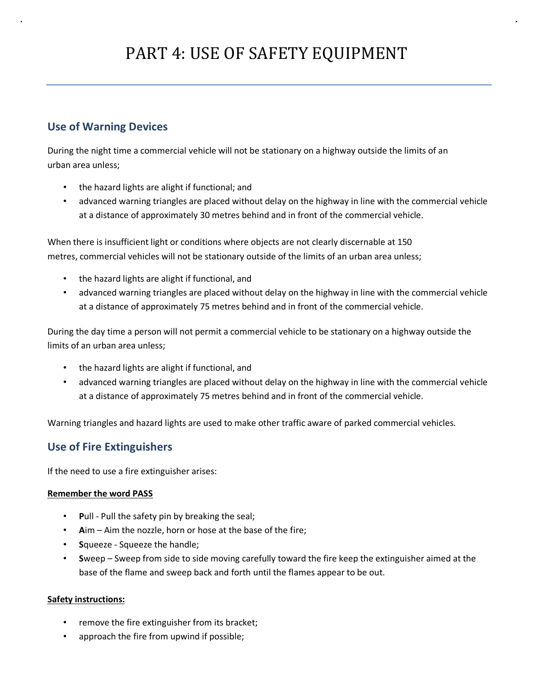# **Use of Warning Devices**

During the night time a commercial vehicle will not be stationary on a highway outside the limits of an urban area unless;

- the hazard lights are alight if functional; and
- advanced warning triangles are placed without delay on the highway in line with the commercial vehicle at a distance of approximately 30 metres behind and in front of the commercial vehicle.

When there is insufficient light or conditions where objects are not clearly discernable at 150 metres, commercial vehicles will not be stationary outside of the limits of an urban area unless;

- the hazard lights are alight if functional, and
- advanced warning triangles are placed without delay on the highway in line with the commercial vehicle at a distance of approximately 75 metres behind and in front of the commercial vehicle.

During the day time a person will not permit a commercial vehicle to be stationary on a highway outside the limits of an urban area unless;

- the hazard lights are alight if functional, and
- advanced warning triangles are placed without delay on the highway in line with the commercial vehicle at a distance of approximately 75 metres behind and in front of the commercial vehicle.

Warning triangles and hazard lights are used to make other traffic aware of parked commercial vehicles.

## **Use of Fire Extinguishers**

If the need to use a fire extinguisher arises:

#### **Remember the word PASS**

- **P**ull Pull the safety pin by breaking the seal;
- **A**im Aim the nozzle, horn or hose at the base of the fire;
- **S**queeze Squeeze the handle;
- **S**weep Sweep from side to side moving carefully toward the fire keep the extinguisher aimed at the base of the flame and sweep back and forth until the flames appear to be out.

#### **Safety instructions:**

- remove the fire extinguisher from its bracket;
- approach the fire from upwind if possible;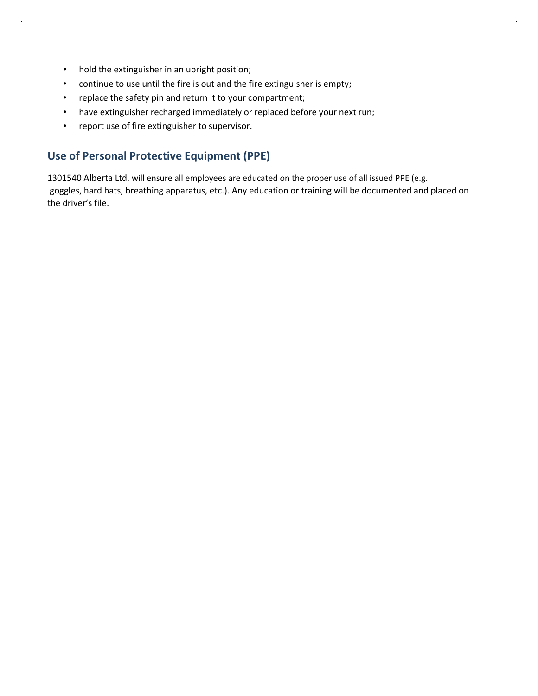- hold the extinguisher in an upright position;
- continue to use until the fire is out and the fire extinguisher is empty;
- replace the safety pin and return it to your compartment;
- have extinguisher recharged immediately or replaced before your next run;
- report use of fire extinguisher to supervisor.

## **Use of Personal Protective Equipment (PPE)**

1301540 Alberta Ltd. will ensure all employees are educated on the proper use of all issued PPE (e.g. goggles, hard hats, breathing apparatus, etc.). Any education or training will be documented and placed on the driver's file.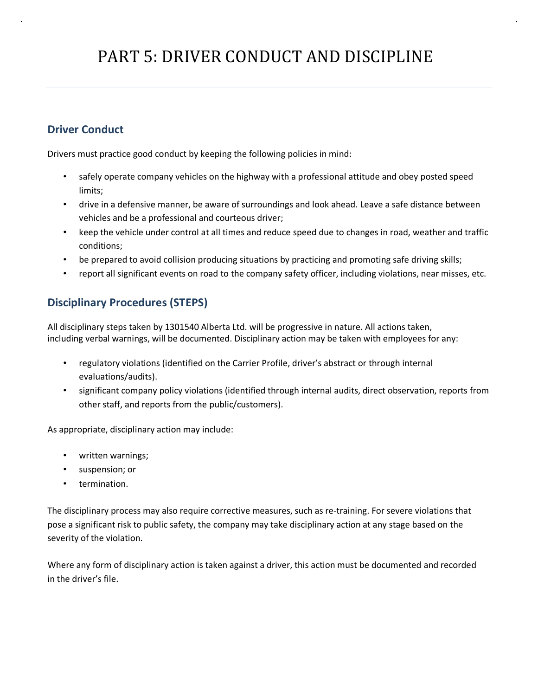# PART 5: DRIVER CONDUCT AND DISCIPLINE

# **Driver Conduct**

Drivers must practice good conduct by keeping the following policies in mind:

- safely operate company vehicles on the highway with a professional attitude and obey posted speed limits;
- drive in a defensive manner, be aware of surroundings and look ahead. Leave a safe distance between vehicles and be a professional and courteous driver;
- keep the vehicle under control at all times and reduce speed due to changes in road, weather and traffic conditions;
- be prepared to avoid collision producing situations by practicing and promoting safe driving skills;
- report all significant events on road to the company safety officer, including violations, near misses, etc.

# **Disciplinary Procedures (STEPS)**

All disciplinary steps taken by 1301540 Alberta Ltd. will be progressive in nature. All actions taken, including verbal warnings, will be documented. Disciplinary action may be taken with employees for any:

- regulatory violations (identified on the Carrier Profile, driver's abstract or through internal evaluations/audits).
- significant company policy violations (identified through internal audits, direct observation, reports from other staff, and reports from the public/customers).

As appropriate, disciplinary action may include:

- written warnings;
- suspension; or
- termination.

The disciplinary process may also require corrective measures, such as re-training. For severe violations that pose a significant risk to public safety, the company may take disciplinary action at any stage based on the severity of the violation.

Where any form of disciplinary action is taken against a driver, this action must be documented and recorded in the driver's file.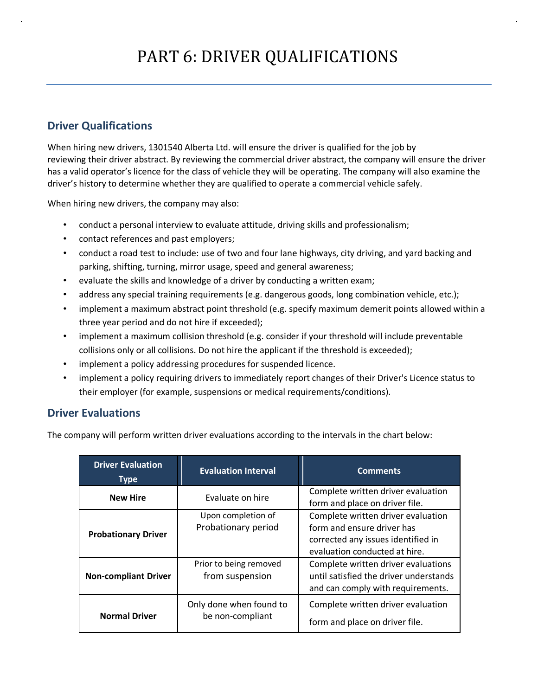# **Driver Qualifications**

When hiring new drivers, 1301540 Alberta Ltd. will ensure the driver is qualified for the job by reviewing their driver abstract. By reviewing the commercial driver abstract, the company will ensure the driver has a valid operator's licence for the class of vehicle they will be operating. The company will also examine the driver's history to determine whether they are qualified to operate a commercial vehicle safely.

When hiring new drivers, the company may also:

- conduct a personal interview to evaluate attitude, driving skills and professionalism;
- contact references and past employers;
- conduct a road test to include: use of two and four lane highways, city driving, and yard backing and parking, shifting, turning, mirror usage, speed and general awareness;
- evaluate the skills and knowledge of a driver by conducting a written exam;
- address any special training requirements (e.g. dangerous goods, long combination vehicle, etc.);
- implement a maximum abstract point threshold (e.g. specify maximum demerit points allowed within a three year period and do not hire if exceeded);
- implement a maximum collision threshold (e.g. consider if your threshold will include preventable collisions only or all collisions. Do not hire the applicant if the threshold is exceeded);
- implement a policy addressing procedures for suspended licence.
- implement a policy requiring drivers to immediately report changes of their Driver's Licence status to their employer (for example, suspensions or medical requirements/conditions).

## **Driver Evaluations**

The company will perform written driver evaluations according to the intervals in the chart below:

| <b>Driver Evaluation</b><br><b>Type</b> | <b>Evaluation Interval</b>                  | <b>Comments</b>                                                                                                                         |  |  |
|-----------------------------------------|---------------------------------------------|-----------------------------------------------------------------------------------------------------------------------------------------|--|--|
| <b>New Hire</b>                         | Evaluate on hire                            | Complete written driver evaluation<br>form and place on driver file.                                                                    |  |  |
| <b>Probationary Driver</b>              | Upon completion of<br>Probationary period   | Complete written driver evaluation<br>form and ensure driver has<br>corrected any issues identified in<br>evaluation conducted at hire. |  |  |
| <b>Non-compliant Driver</b>             | Prior to being removed<br>from suspension   | Complete written driver evaluations<br>until satisfied the driver understands<br>and can comply with requirements.                      |  |  |
| <b>Normal Driver</b>                    | Only done when found to<br>be non-compliant | Complete written driver evaluation<br>form and place on driver file.                                                                    |  |  |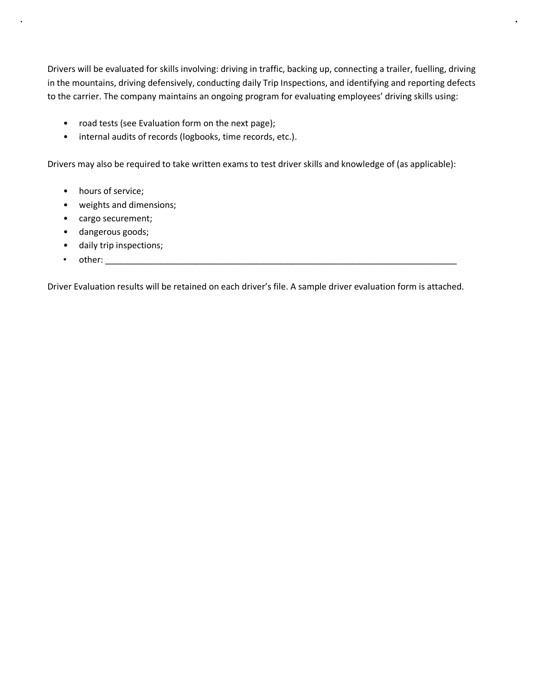Drivers will be evaluated for skills involving: driving in traffic, backing up, connecting a trailer, fuelling, driving in the mountains, driving defensively, conducting daily Trip Inspections, and identifying and reporting defects to the carrier. The company maintains an ongoing program for evaluating employees' driving skills using:

- road tests (see Evaluation form on the next page);
- internal audits of records (logbooks, time records, etc.).

Drivers may also be required to take written exams to test driver skills and knowledge of (as applicable):

- hours of service;
- weights and dimensions;
- cargo securement;
- dangerous goods;
- daily trip inspections;
- other: \_\_\_\_\_\_\_\_\_\_\_\_\_\_\_\_\_\_\_\_\_\_\_\_\_\_\_\_\_\_\_\_\_\_\_\_\_\_\_\_\_\_\_\_\_\_\_\_\_\_\_\_\_\_\_\_\_\_\_\_\_\_\_\_\_\_\_\_\_\_\_\_\_

Driver Evaluation results will be retained on each driver's file. A sample driver evaluation form is attached.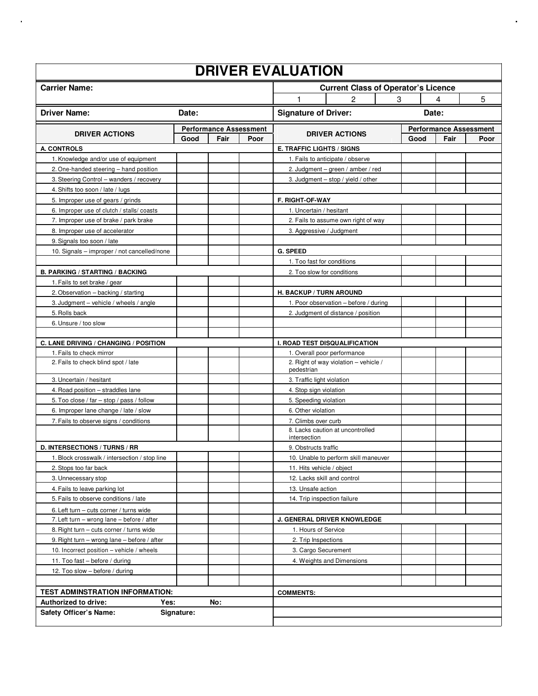| <b>DRIVER EVALUATION</b>                                                      |                               |      |                                            |                                                                             |      |                               |      |  |  |  |
|-------------------------------------------------------------------------------|-------------------------------|------|--------------------------------------------|-----------------------------------------------------------------------------|------|-------------------------------|------|--|--|--|
| <b>Carrier Name:</b>                                                          |                               |      | <b>Current Class of Operator's Licence</b> |                                                                             |      |                               |      |  |  |  |
|                                                                               |                               |      |                                            | 1<br>2                                                                      | 3    | 4                             | 5    |  |  |  |
| <b>Driver Name:</b>                                                           | Date:                         |      |                                            | <b>Signature of Driver:</b>                                                 |      | Date:                         |      |  |  |  |
|                                                                               | <b>Performance Assessment</b> |      |                                            |                                                                             |      | <b>Performance Assessment</b> |      |  |  |  |
| <b>DRIVER ACTIONS</b>                                                         | Good                          | Fair | Poor                                       | <b>DRIVER ACTIONS</b>                                                       | Good | Fair                          | Poor |  |  |  |
| <b>A. CONTROLS</b>                                                            |                               |      |                                            | <b>E. TRAFFIC LIGHTS / SIGNS</b>                                            |      |                               |      |  |  |  |
| 1. Knowledge and/or use of equipment                                          |                               |      |                                            | 1. Fails to anticipate / observe                                            |      |                               |      |  |  |  |
| 2. One-handed steering - hand position                                        |                               |      |                                            | 2. Judgment – green / amber / red                                           |      |                               |      |  |  |  |
| 3. Steering Control - wanders / recovery                                      |                               |      |                                            | 3. Judgment - stop / yield / other                                          |      |                               |      |  |  |  |
| 4. Shifts too soon / late / lugs                                              |                               |      |                                            |                                                                             |      |                               |      |  |  |  |
| 5. Improper use of gears / grinds                                             |                               |      |                                            | <b>F. RIGHT-OF-WAY</b>                                                      |      |                               |      |  |  |  |
| 6. Improper use of clutch / stalls/coasts                                     |                               |      |                                            | 1. Uncertain / hesitant                                                     |      |                               |      |  |  |  |
| 7. Improper use of brake / park brake                                         |                               |      |                                            | 2. Fails to assume own right of way                                         |      |                               |      |  |  |  |
| 8. Improper use of accelerator                                                |                               |      |                                            | 3. Aggressive / Judgment                                                    |      |                               |      |  |  |  |
| 9. Signals too soon / late                                                    |                               |      |                                            |                                                                             |      |                               |      |  |  |  |
| 10. Signals - improper / not cancelled/none                                   |                               |      |                                            | <b>G. SPEED</b>                                                             |      |                               |      |  |  |  |
|                                                                               |                               |      |                                            | 1. Too fast for conditions                                                  |      |                               |      |  |  |  |
| <b>B. PARKING / STARTING / BACKING</b>                                        |                               |      |                                            | 2. Too slow for conditions                                                  |      |                               |      |  |  |  |
| 1. Fails to set brake / gear                                                  |                               |      |                                            |                                                                             |      |                               |      |  |  |  |
| 2. Observation - backing / starting<br>3. Judgment - vehicle / wheels / angle |                               |      |                                            | H. BACKUP / TURN AROUND                                                     |      |                               |      |  |  |  |
| 5. Rolls back                                                                 |                               |      |                                            | 1. Poor observation - before / during<br>2. Judgment of distance / position |      |                               |      |  |  |  |
| 6. Unsure / too slow                                                          |                               |      |                                            |                                                                             |      |                               |      |  |  |  |
|                                                                               |                               |      |                                            |                                                                             |      |                               |      |  |  |  |
| C. LANE DRIVING / CHANGING / POSITION                                         |                               |      |                                            | <b>I. ROAD TEST DISQUALIFICATION</b>                                        |      |                               |      |  |  |  |
| 1. Fails to check mirror                                                      |                               |      |                                            | 1. Overall poor performance                                                 |      |                               |      |  |  |  |
| 2. Fails to check blind spot / late                                           |                               |      |                                            | 2. Right of way violation - vehicle /<br>pedestrian                         |      |                               |      |  |  |  |
| 3. Uncertain / hesitant                                                       |                               |      |                                            | 3. Traffic light violation                                                  |      |                               |      |  |  |  |
| 4. Road position - straddles lane                                             |                               |      |                                            | 4. Stop sign violation                                                      |      |                               |      |  |  |  |
| 5. Too close / far - stop / pass / follow                                     |                               |      |                                            | 5. Speeding violation                                                       |      |                               |      |  |  |  |
| 6. Improper lane change / late / slow                                         |                               |      |                                            | 6. Other violation                                                          |      |                               |      |  |  |  |
| 7. Fails to observe signs / conditions                                        |                               |      |                                            | 7. Climbs over curb                                                         |      |                               |      |  |  |  |
|                                                                               |                               |      |                                            | 8. Lacks caution at uncontrolled<br>intersection                            |      |                               |      |  |  |  |
| D. INTERSECTIONS / TURNS / RR                                                 |                               |      |                                            | 9. Obstructs traffic                                                        |      |                               |      |  |  |  |
| 1. Block crosswalk / intersection / stop line                                 |                               |      |                                            | 10. Unable to perform skill maneuver                                        |      |                               |      |  |  |  |
| 2. Stops too far back                                                         |                               |      |                                            | 11. Hits vehicle / object                                                   |      |                               |      |  |  |  |
| 3. Unnecessary stop                                                           |                               |      |                                            | 12. Lacks skill and control                                                 |      |                               |      |  |  |  |
| 4. Fails to leave parking lot                                                 |                               |      |                                            | 13. Unsafe action                                                           |      |                               |      |  |  |  |
| 5. Fails to observe conditions / late                                         |                               |      |                                            | 14. Trip inspection failure                                                 |      |                               |      |  |  |  |
| 6. Left turn - cuts corner / turns wide                                       |                               |      |                                            |                                                                             |      |                               |      |  |  |  |
| 7. Left turn - wrong lane - before / after                                    |                               |      |                                            | J. GENERAL DRIVER KNOWLEDGE                                                 |      |                               |      |  |  |  |
| 8. Right turn - cuts corner / turns wide                                      |                               |      |                                            | 1. Hours of Service                                                         |      |                               |      |  |  |  |
| 9. Right turn - wrong lane - before / after                                   |                               |      |                                            | 2. Trip Inspections                                                         |      |                               |      |  |  |  |
| 10. Incorrect position - vehicle / wheels                                     |                               |      |                                            | 3. Cargo Securement                                                         |      |                               |      |  |  |  |
| 11. Too fast - before / during                                                |                               |      |                                            | 4. Weights and Dimensions                                                   |      |                               |      |  |  |  |
| 12. Too slow - before / during                                                |                               |      |                                            |                                                                             |      |                               |      |  |  |  |
|                                                                               |                               |      |                                            |                                                                             |      |                               |      |  |  |  |
| <b>TEST ADMINSTRATION INFORMATION:</b>                                        |                               |      | <b>COMMENTS:</b>                           |                                                                             |      |                               |      |  |  |  |
| <b>Authorized to drive:</b><br>No:<br>Yes:                                    |                               |      |                                            |                                                                             |      |                               |      |  |  |  |
| <b>Safety Officer's Name:</b>                                                 | Signature:                    |      |                                            |                                                                             |      |                               |      |  |  |  |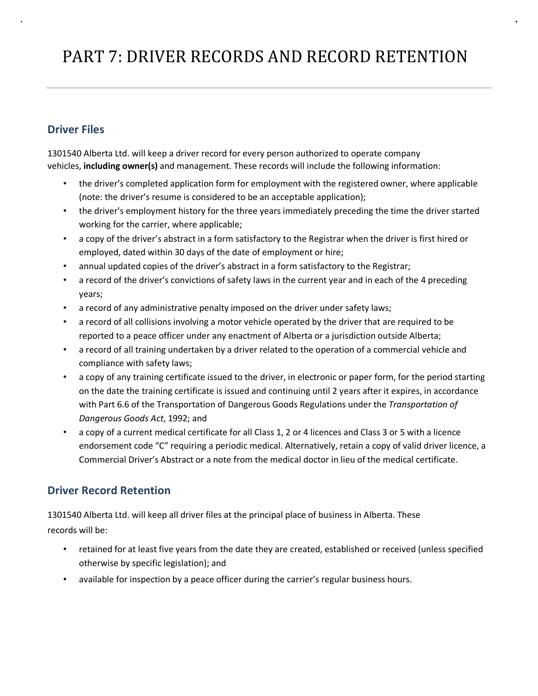# PART 7: DRIVER RECORDS AND RECORD RETENTION

# **Driver Files**

1301540 Alberta Ltd. will keep a driver record for every person authorized to operate company vehicles, **including owner(s)** and management. These records will include the following information:

- the driver's completed application form for employment with the registered owner, where applicable (note: the driver's resume is considered to be an acceptable application);
- the driver's employment history for the three years immediately preceding the time the driver started working for the carrier, where applicable;
- a copy of the driver's abstract in a form satisfactory to the Registrar when the driver is first hired or employed, dated within 30 days of the date of employment or hire;
- annual updated copies of the driver's abstract in a form satisfactory to the Registrar;
- a record of the driver's convictions of safety laws in the current year and in each of the 4 preceding years;
- a record of any administrative penalty imposed on the driver under safety laws;
- a record of all collisions involving a motor vehicle operated by the driver that are required to be reported to a peace officer under any enactment of Alberta or a jurisdiction outside Alberta;
- a record of all training undertaken by a driver related to the operation of a commercial vehicle and compliance with safety laws;
- a copy of any training certificate issued to the driver, in electronic or paper form, for the period starting on the date the training certificate is issued and continuing until 2 years after it expires, in accordance with Part 6.6 of the Transportation of Dangerous Goods Regulations under the *Transportation of Dangerous Goods Act*, 1992; and
- a copy of a current medical certificate for all Class 1, 2 or 4 licences and Class 3 or 5 with a licence endorsement code "C" requiring a periodic medical. Alternatively, retain a copy of valid driver licence, a Commercial Driver's Abstract or a note from the medical doctor in lieu of the medical certificate.

## **Driver Record Retention**

1301540 Alberta Ltd. will keep all driver files at the principal place of business in Alberta. These records will be:

- retained for at least five years from the date they are created, established or received (unless specified otherwise by specific legislation); and
- available for inspection by a peace officer during the carrier's regular business hours.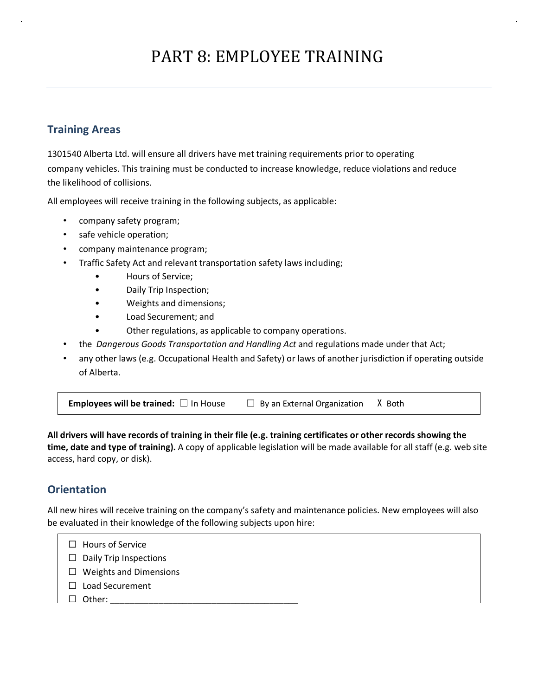# PART 8: EMPLOYEE TRAINING

## **Training Areas**

1301540 Alberta Ltd. will ensure all drivers have met training requirements prior to operating company vehicles. This training must be conducted to increase knowledge, reduce violations and reduce the likelihood of collisions.

All employees will receive training in the following subjects, as applicable:

- company safety program;
- safe vehicle operation;
- company maintenance program;
- Traffic Safety Act and relevant transportation safety laws including;
	- Hours of Service;
	- Daily Trip Inspection;
	- Weights and dimensions;
	- Load Securement; and
	- Other regulations, as applicable to company operations.
- the *Dangerous Goods Transportation and Handling Act* and regulations made under that Act;
- any other laws (e.g. Occupational Health and Safety) or laws of another jurisdiction if operating outside of Alberta.

**Employees will be trained:** □ In House □ By an External Organization X Both

**All drivers will have records of training in their file (e.g. training certificates or other records showing the time, date and type of training).** A copy of applicable legislation will be made available for all staff (e.g. web site access, hard copy, or disk).

# **Orientation**

All new hires will receive training on the company's safety and maintenance policies. New employees will also be evaluated in their knowledge of the following subjects upon hire:

- ☐ Hours of Service
- □ Daily Trip Inspections
- ☐ Weights and Dimensions
- ☐ Load Securement
- $\Box$  Other: